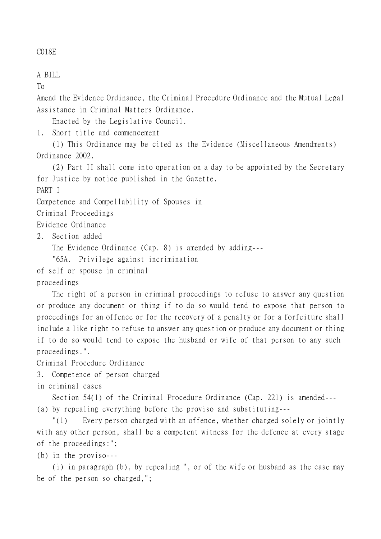## C018E

A BILL

To

Amend the Evidence Ordinance, the Criminal Procedure Ordinance and the Mutual Legal Assistance in Criminal Matters Ordinance.

Enacted by the Legislative Council.

1. Short title and commencement

(1) This Ordinance may be cited as the Evidence (Miscellaneous Amendments) Ordinance 2002.

(2) Part II shall come into operation on a day to be appointed by the Secretary for Justice by notice published in the Gazette.

PART I

Competence and Compellability of Spouses in

Criminal Proceedings

Evidence Ordinance

2. Section added

The Evidence Ordinance (Cap. 8) is amended by adding---

"65A. Privilege against incrimination

of self or spouse in criminal

proceedings

The right of a person in criminal proceedings to refuse to answer any question or produce any document or thing if to do so would tend to expose that person to proceedings for an offence or for the recovery of a penalty or for a forfeiture shall include a like right to refuse to answer any question or produce any document or thing if to do so would tend to expose the husband or wife of that person to any such proceedings.".

Criminal Procedure Ordinance

3. Competence of person charged

in criminal cases

Section 54(1) of the Criminal Procedure Ordinance (Cap. 221) is amended--- (a) by repealing everything before the proviso and substituting---

"(1) Every person charged with an offence, whether charged solely or jointly with any other person, shall be a competent witness for the defence at every stage of the proceedings:";

(b) in the proviso---

(i) in paragraph (b), by repealing ", or of the wife or husband as the case may be of the person so charged,";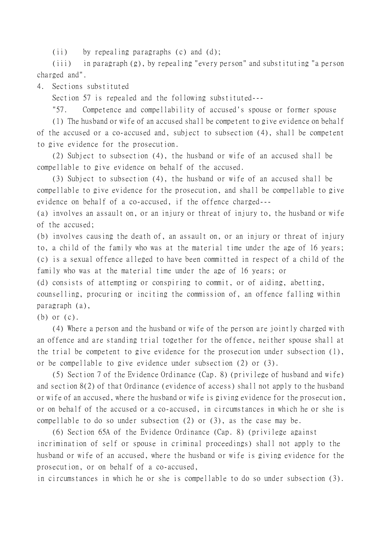(ii) by repealing paragraphs (c) and (d);

(iii) in paragraph (g), by repealing "every person" and substituting "a person charged and".

4. Sections substituted

Section 57 is repealed and the following substituted---

"57. Competence and compellability of accused's spouse or former spouse

(1) The husband or wife of an accused shall be competent to give evidence on behalf of the accused or a co-accused and, subject to subsection (4), shall be competent to give evidence for the prosecution.

(2) Subject to subsection (4), the husband or wife of an accused shall be compellable to give evidence on behalf of the accused.

(3) Subject to subsection (4), the husband or wife of an accused shall be compellable to give evidence for the prosecution, and shall be compellable to give evidence on behalf of a co-accused, if the offence charged---

(a) involves an assault on, or an injury or threat of injury to, the husband or wife of the accused;

(b) involves causing the death of, an assault on, or an injury or threat of injury to, a child of the family who was at the material time under the age of 16 years; (c) is a sexual offence alleged to have been committed in respect of a child of the family who was at the material time under the age of 16 years; or

(d) consists of attempting or conspiring to commit, or of aiding, abetting, counselling, procuring or inciting the commission of, an offence falling within paragraph (a),

(b) or (c).

(4) Where a person and the husband or wife of the person are jointly charged with an offence and are standing trial together for the offence, neither spouse shall at the trial be competent to give evidence for the prosecution under subsection (1), or be compellable to give evidence under subsection (2) or (3).

(5) Section 7 of the Evidence Ordinance (Cap. 8) (privilege of husband and wife) and section 8(2) of that Ordinance (evidence of access) shall not apply to the husband or wife of an accused, where the husband or wife is giving evidence for the prosecution, or on behalf of the accused or a co-accused, in circumstances in which he or she is compellable to do so under subsection (2) or (3), as the case may be.

(6) Section 65A of the Evidence Ordinance (Cap. 8) (privilege against incrimination of self or spouse in criminal proceedings) shall not apply to the husband or wife of an accused, where the husband or wife is giving evidence for the prosecution, or on behalf of a co-accused,

in circumstances in which he or she is compellable to do so under subsection (3).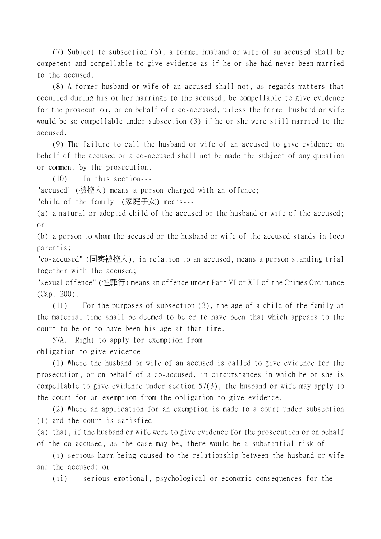(7) Subject to subsection (8), a former husband or wife of an accused shall be competent and compellable to give evidence as if he or she had never been married to the accused.

(8) A former husband or wife of an accused shall not, as regards matters that occurred during his or her marriage to the accused, be compellable to give evidence for the prosecution, or on behalf of a co-accused, unless the former husband or wife would be so compellable under subsection (3) if he or she were still married to the accused.

(9) The failure to call the husband or wife of an accused to give evidence on behalf of the accused or a co-accused shall not be made the subject of any question or comment by the prosecution.

(10) In this section---

"accused" (被控人) means a person charged with an offence;

"child of the family" (家庭子女) means---

(a) a natural or adopted child of the accused or the husband or wife of the accused; or

(b) a person to whom the accused or the husband or wife of the accused stands in loco parentis;

"co-accused" (同案被控㆟), in relation to an accused, means a person standing trial together with the accused;

"sexual offence" (性罪行) means an offence under Part VI or XII of the Crimes Ordinance (Cap. 200).

(11) For the purposes of subsection (3), the age of a child of the family at the material time shall be deemed to be or to have been that which appears to the court to be or to have been his age at that time.

57A. Right to apply for exemption from obligation to give evidence

(1) Where the husband or wife of an accused is called to give evidence for the prosecution, or on behalf of a co-accused, in circumstances in which he or she is compellable to give evidence under section 57(3), the husband or wife may apply to the court for an exemption from the obligation to give evidence.

(2) Where an application for an exemption is made to a court under subsection (1) and the court is satisfied---

(a) that, if the husband or wife were to give evidence for the prosecution or on behalf of the co-accused, as the case may be, there would be a substantial risk of---

(i) serious harm being caused to the relationship between the husband or wife and the accused; or

(ii) serious emotional, psychological or economic consequences for the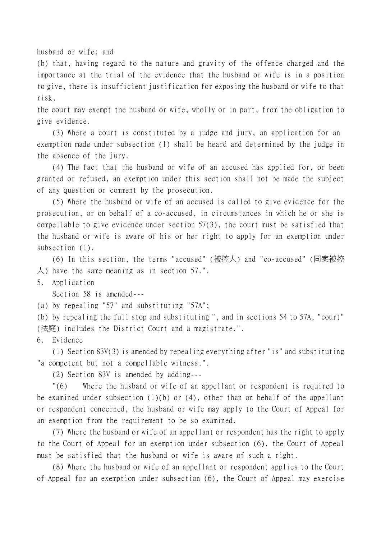husband or wife; and

(b) that, having regard to the nature and gravity of the offence charged and the importance at the trial of the evidence that the husband or wife is in a position to give, there is insufficient justification for exposing the husband or wife to that risk,

the court may exempt the husband or wife, wholly or in part, from the obligation to give evidence.

(3) Where a court is constituted by a judge and jury, an application for an exemption made under subsection (1) shall be heard and determined by the judge in the absence of the jury.

(4) The fact that the husband or wife of an accused has applied for, or been granted or refused, an exemption under this section shall not be made the subject of any question or comment by the prosecution.

(5) Where the husband or wife of an accused is called to give evidence for the prosecution, or on behalf of a co-accused, in circumstances in which he or she is compellable to give evidence under section 57(3), the court must be satisfied that the husband or wife is aware of his or her right to apply for an exemption under subsection (1).

(6) In this section, the terms "accused" (被控㆟) and "co-accused" (同案被控  $\lambda$ ) have the same meaning as in section 57.".

5. Application

Section 58 is amended---

(a) by repealing "57" and substituting "57A";

(b) by repealing the full stop and substituting ", and in sections 54 to 57A, "court" (法庭) includes the District Court and a magistrate.".

6. Evidence

(1) Section 83V(3) is amended by repealing everything after "is" and substituting "a competent but not a compellable witness.".

(2) Section 83V is amended by adding---

"(6) Where the husband or wife of an appellant or respondent is required to be examined under subsection (1)(b) or (4), other than on behalf of the appellant or respondent concerned, the husband or wife may apply to the Court of Appeal for an exemption from the requirement to be so examined.

(7) Where the husband or wife of an appellant or respondent has the right to apply to the Court of Appeal for an exemption under subsection (6), the Court of Appeal must be satisfied that the husband or wife is aware of such a right.

(8) Where the husband or wife of an appellant or respondent applies to the Court of Appeal for an exemption under subsection (6), the Court of Appeal may exercise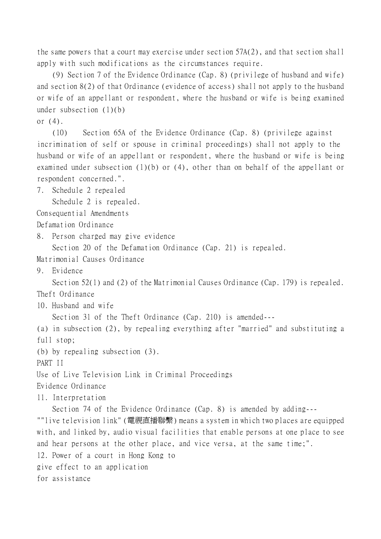the same powers that a court may exercise under section 57A(2), and that section shall apply with such modifications as the circumstances require.

(9) Section 7 of the Evidence Ordinance (Cap. 8) (privilege of husband and wife) and section 8(2) of that Ordinance (evidence of access) shall not apply to the husband or wife of an appellant or respondent, where the husband or wife is being examined under subsection (1)(b)

or (4).

(10) Section 65A of the Evidence Ordinance (Cap. 8) (privilege against incrimination of self or spouse in criminal proceedings) shall not apply to the husband or wife of an appellant or respondent, where the husband or wife is being examined under subsection (1)(b) or (4), other than on behalf of the appellant or respondent concerned.".

7. Schedule 2 repealed

Schedule 2 is repealed.

Consequential Amendments

Defamation Ordinance

8. Person charged may give evidence

Section 20 of the Defamation Ordinance (Cap. 21) is repealed.

Matrimonial Causes Ordinance

9. Evidence

Section 52(1) and (2) of the Matrimonial Causes Ordinance (Cap. 179) is repealed.

Theft Ordinance

10. Husband and wife

Section 31 of the Theft Ordinance (Cap. 210) is amended---

(a) in subsection (2), by repealing everything after "married" and substituting a full stop;

(b) by repealing subsection (3).

PART II

Use of Live Television Link in Criminal Proceedings

Evidence Ordinance

11. Interpretation

Section 74 of the Evidence Ordinance (Cap. 8) is amended by adding---

""live television link" (電視直播聯繫) means a system in which two places are equipped with, and linked by, audio visual facilities that enable persons at one place to see and hear persons at the other place, and vice versa, at the same time;".

12. Power of a court in Hong Kong to

give effect to an application

for assistance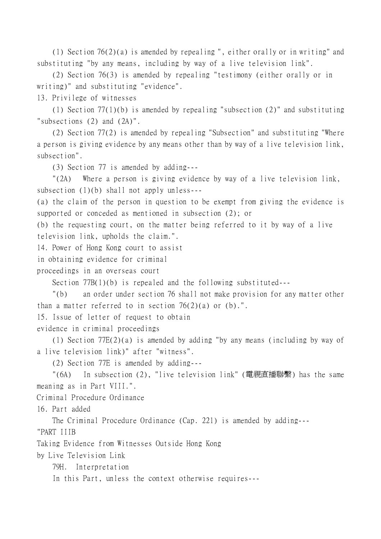(1) Section 76(2)(a) is amended by repealing ", either orally or in writing" and substituting "by any means, including by way of a live television link".

(2) Section 76(3) is amended by repealing "testimony (either orally or in writing)" and substituting "evidence".

13. Privilege of witnesses

(1) Section 77(1)(b) is amended by repealing "subsection (2)" and substituting "subsections (2) and (2A)".

(2) Section 77(2) is amended by repealing "Subsection" and substituting "Where a person is giving evidence by any means other than by way of a live television link, subsection".

(3) Section 77 is amended by adding---

"(2A) Where a person is giving evidence by way of a live television link, subsection (1)(b) shall not apply unless---

(a) the claim of the person in question to be exempt from giving the evidence is supported or conceded as mentioned in subsection (2); or

(b) the requesting court, on the matter being referred to it by way of a live television link, upholds the claim.".

14. Power of Hong Kong court to assist

in obtaining evidence for criminal

proceedings in an overseas court

Section 77B(1)(b) is repealed and the following substituted---

"(b) an order under section 76 shall not make provision for any matter other than a matter referred to in section  $76(2)(a)$  or (b).".

15. Issue of letter of request to obtain

evidence in criminal proceedings

(1) Section 77E(2)(a) is amended by adding "by any means (including by way of a live television link)" after "witness".

(2) Section 77E is amended by adding---

"(6A) In subsection (2), "live television link" (電視直播聯繫) has the same meaning as in Part VIII.".

Criminal Procedure Ordinance

16. Part added

The Criminal Procedure Ordinance (Cap. 221) is amended by adding--- "PART IIIB

Taking Evidence from Witnesses Outside Hong Kong

by Live Television Link

79H. Interpretation

In this Part, unless the context otherwise requires---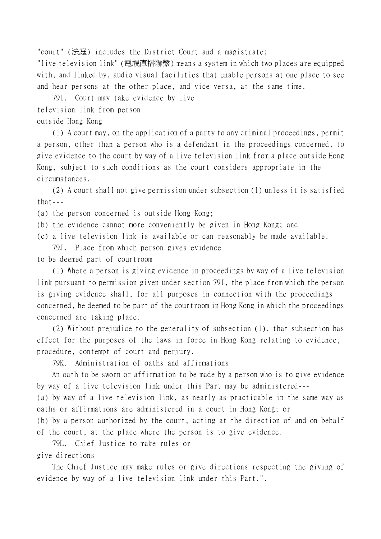"court" (法庭) includes the District Court and a magistrate;

"live television link" (電視直播聯繫) means a system in which two places are equipped with, and linked by, audio visual facilities that enable persons at one place to see and hear persons at the other place, and vice versa, at the same time.

79I. Court may take evidence by live

television link from person

outside Hong Kong

(1) A court may, on the application of a party to any criminal proceedings, permit a person, other than a person who is a defendant in the proceedings concerned, to give evidence to the court by way of a live television link from a place outside Hong Kong, subject to such conditions as the court considers appropriate in the circumstances.

(2) A court shall not give permission under subsection (1) unless it is satisfied that---

(a) the person concerned is outside Hong Kong;

- (b) the evidence cannot more conveniently be given in Hong Kong; and
- (c) a live television link is available or can reasonably be made available.

79J. Place from which person gives evidence

to be deemed part of courtroom

(1) Where a person is giving evidence in proceedings by way of a live television link pursuant to permission given under section 79I, the place from which the person is giving evidence shall, for all purposes in connection with the proceedings concerned, be deemed to be part of the courtroom in Hong Kong in which the proceedings concerned are taking place.

(2) Without prejudice to the generality of subsection (1), that subsection has effect for the purposes of the laws in force in Hong Kong relating to evidence, procedure, contempt of court and perjury.

79K. Administration of oaths and affirmations

An oath to be sworn or affirmation to be made by a person who is to give evidence by way of a live television link under this Part may be administered---

(a) by way of a live television link, as nearly as practicable in the same way as oaths or affirmations are administered in a court in Hong Kong; or

(b) by a person authorized by the court, acting at the direction of and on behalf of the court, at the place where the person is to give evidence.

79L. Chief Justice to make rules or give directions

The Chief Justice may make rules or give directions respecting the giving of evidence by way of a live television link under this Part.".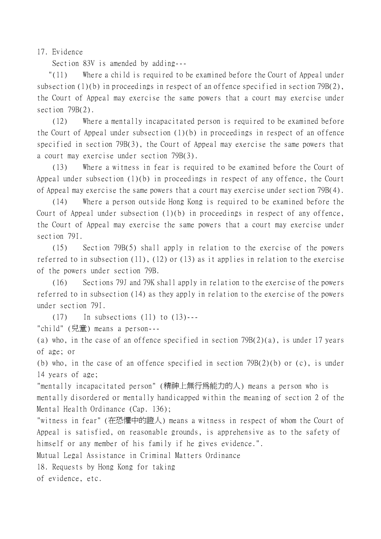17. Evidence

Section 83V is amended by adding---

 "(11) Where a child is required to be examined before the Court of Appeal under subsection (1)(b) in proceedings in respect of an offence specified in section 79B(2), the Court of Appeal may exercise the same powers that a court may exercise under section 79B(2).

(12) Where a mentally incapacitated person is required to be examined before the Court of Appeal under subsection (1)(b) in proceedings in respect of an offence specified in section 79B(3), the Court of Appeal may exercise the same powers that a court may exercise under section 79B(3).

(13) Where a witness in fear is required to be examined before the Court of Appeal under subsection (1)(b) in proceedings in respect of any offence, the Court of Appeal may exercise the same powers that a court may exercise under section 79B(4).

(14) Where a person outside Hong Kong is required to be examined before the Court of Appeal under subsection (1)(b) in proceedings in respect of any offence, the Court of Appeal may exercise the same powers that a court may exercise under section 79I.

(15) Section 79B(5) shall apply in relation to the exercise of the powers referred to in subsection (11), (12) or (13) as it applies in relation to the exercise of the powers under section 79B.

(16) Sections 79J and 79K shall apply in relation to the exercise of the powers referred to in subsection (14) as they apply in relation to the exercise of the powers under section 79I.

 $(17)$  In subsections  $(11)$  to  $(13)$ ---

"child" (兒童) means a person---

(a) who, in the case of an offence specified in section 79B(2)(a), is under 17 years of age; or

(b) who, in the case of an offence specified in section 79B(2)(b) or (c), is under 14 years of age;

"mentally incapacitated person" (精神㆖無行為能力的㆟) means a person who is mentally disordered or mentally handicapped within the meaning of section 2 of the Mental Health Ordinance (Cap. 136);

"witness in fear" (在恐懼㆗的證㆟) means a witness in respect of whom the Court of Appeal is satisfied, on reasonable grounds, is apprehensive as to the safety of himself or any member of his family if he gives evidence.".

Mutual Legal Assistance in Criminal Matters Ordinance

18. Requests by Hong Kong for taking

of evidence, etc.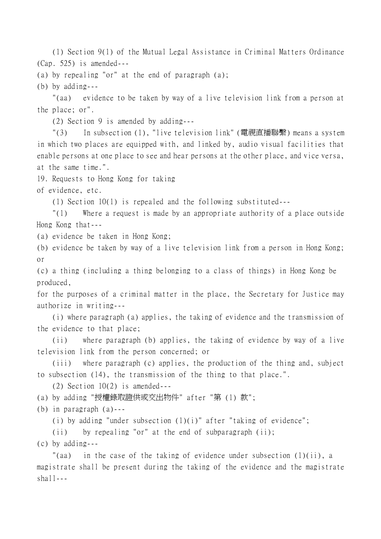(1) Section 9(1) of the Mutual Legal Assistance in Criminal Matters Ordinance (Cap. 525) is amended---

(a) by repealing "or" at the end of paragraph (a);

(b) by adding---

"(aa) evidence to be taken by way of a live television link from a person at the place; or".

(2) Section 9 is amended by adding---

"(3) In subsection (1), "live television link" (電視直播聯繫) means a system in which two places are equipped with, and linked by, audio visual facilities that enable persons at one place to see and hear persons at the other place, and vice versa, at the same time.".

19. Requests to Hong Kong for taking

of evidence, etc.

(1) Section 10(1) is repealed and the following substituted---

"(1) Where a request is made by an appropriate authority of a place outside Hong Kong that---

(a) evidence be taken in Hong Kong;

(b) evidence be taken by way of a live television link from a person in Hong Kong; or

(c) a thing (including a thing belonging to a class of things) in Hong Kong be produced,

for the purposes of a criminal matter in the place, the Secretary for Justice may authorize in writing---

(i) where paragraph (a) applies, the taking of evidence and the transmission of the evidence to that place;

(ii) where paragraph (b) applies, the taking of evidence by way of a live television link from the person concerned; or

(iii) where paragraph (c) applies, the production of the thing and, subject to subsection (14), the transmission of the thing to that place.".

 $(2)$  Section  $10(2)$  is amended---

(a) by adding "授權錄取證供或交出物件" after "第 (1) 款";

(b) in paragraph (a)---

(i) by adding "under subsection  $(1)(i)$ " after "taking of evidence";

(ii) by repealing "or" at the end of subparagraph (ii);

(c) by adding---

"(aa) in the case of the taking of evidence under subsection (1)(ii), a magistrate shall be present during the taking of the evidence and the magistrate  $shal1--$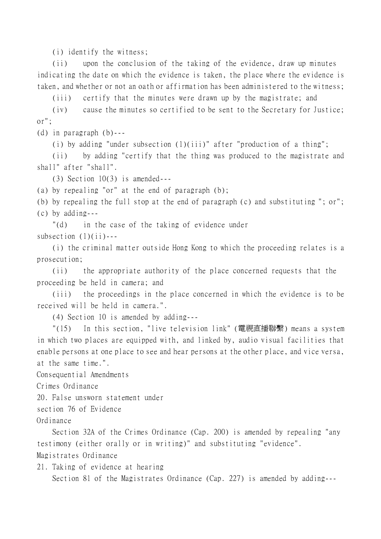(i) identify the witness;

(ii) upon the conclusion of the taking of the evidence, draw up minutes indicating the date on which the evidence is taken, the place where the evidence is taken, and whether or not an oath or affirmation has been administered to the witness;

(iii) certify that the minutes were drawn up by the magistrate; and

(iv) cause the minutes so certified to be sent to the Secretary for Justice; or";

(d) in paragraph (b)---

(i) by adding "under subsection (1)(iii)" after "production of a thing";

(ii) by adding "certify that the thing was produced to the magistrate and shall" after "shall".

(3) Section 10(3) is amended---

(a) by repealing "or" at the end of paragraph (b);

(b) by repealing the full stop at the end of paragraph (c) and substituting "; or"; (c) by adding---

"(d) in the case of the taking of evidence under subsection  $(1)(ii)$ ---

(i) the criminal matter outside Hong Kong to which the proceeding relates is a prosecution;

(ii) the appropriate authority of the place concerned requests that the proceeding be held in camera; and

(iii) the proceedings in the place concerned in which the evidence is to be received will be held in camera.".

(4) Section 10 is amended by adding---

"(15) In this section, "live television link" (電視直播聯繫) means a system in which two places are equipped with, and linked by, audio visual facilities that enable persons at one place to see and hear persons at the other place, and vice versa, at the same time.".

Consequential Amendments

Crimes Ordinance

20. False unsworn statement under

section 76 of Evidence

Ordinance

Section 32A of the Crimes Ordinance (Cap. 200) is amended by repealing "any testimony (either orally or in writing)" and substituting "evidence". Magistrates Ordinance

21. Taking of evidence at hearing

Section 81 of the Magistrates Ordinance (Cap. 227) is amended by adding---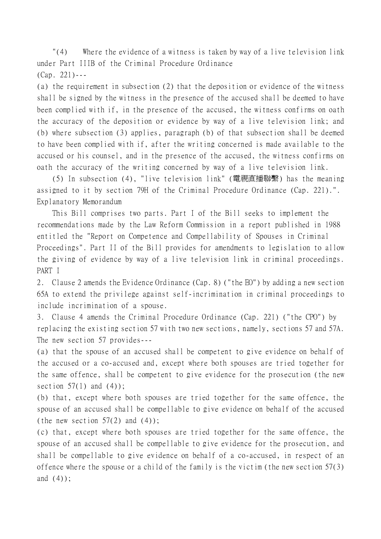"(4) Where the evidence of a witness is taken by way of a live television link under Part IIIB of the Criminal Procedure Ordinance (Cap. 221)---

(a) the requirement in subsection (2) that the deposition or evidence of the witness shall be signed by the witness in the presence of the accused shall be deemed to have been complied with if, in the presence of the accused, the witness confirms on oath the accuracy of the deposition or evidence by way of a live television link; and (b) where subsection (3) applies, paragraph (b) of that subsection shall be deemed to have been complied with if, after the writing concerned is made available to the accused or his counsel, and in the presence of the accused, the witness confirms on oath the accuracy of the writing concerned by way of a live television link.

(5) In subsection (4), "live television link" (電視直播聯繫) has the meaning assigned to it by section 79H of the Criminal Procedure Ordinance (Cap. 221).". Explanatory Memorandum

This Bill comprises two parts. Part I of the Bill seeks to implement the recommendations made by the Law Reform Commission in a report published in 1988 entitled the "Report on Competence and Compellability of Spouses in Criminal Proceedings". Part II of the Bill provides for amendments to legislation to allow the giving of evidence by way of a live television link in criminal proceedings. PART I

2. Clause 2 amends the Evidence Ordinance (Cap. 8) ("the EO") by adding a new section 65A to extend the privilege against self-incrimination in criminal proceedings to include incrimination of a spouse.

3. Clause 4 amends the Criminal Procedure Ordinance (Cap. 221) ("the CPO") by replacing the existing section 57 with two new sections, namely, sections 57 and 57A. The new section 57 provides---

(a) that the spouse of an accused shall be competent to give evidence on behalf of the accused or a co-accused and, except where both spouses are tried together for the same offence, shall be competent to give evidence for the prosecution (the new section  $57(1)$  and  $(4)$ ;

(b) that, except where both spouses are tried together for the same offence, the spouse of an accused shall be compellable to give evidence on behalf of the accused (the new section  $57(2)$  and  $(4)$ );

(c) that, except where both spouses are tried together for the same offence, the spouse of an accused shall be compellable to give evidence for the prosecution, and shall be compellable to give evidence on behalf of a co-accused, in respect of an offence where the spouse or a child of the family is the victim (the new section 57(3) and (4));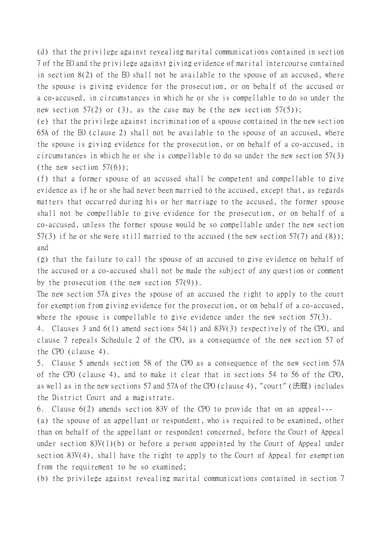(d) that the privilege against revealing marital communications contained in section 7 of the EO and the privilege against giving evidence of marital intercourse contained in section 8(2) of the EO shall not be available to the spouse of an accused, where the spouse is giving evidence for the prosecution, or on behalf of the accused or a co-accused, in circumstances in which he or she is compellable to do so under the new section  $57(2)$  or (3), as the case may be (the new section  $57(5)$ );

(e) that the privilege against incrimination of a spouse contained in the new section 65A of the EO (clause 2) shall not be available to the spouse of an accused, where the spouse is giving evidence for the prosecution, or on behalf of a co-accused, in circumstances in which he or she is compellable to do so under the new section 57(3) (the new section  $57(6)$ );

(f) that a former spouse of an accused shall be competent and compellable to give evidence as if he or she had never been married to the accused, except that, as regards matters that occurred during his or her marriage to the accused, the former spouse shall not be compellable to give evidence for the prosecution, or on behalf of a co-accused, unless the former spouse would be so compellable under the new section 57(3) if he or she were still married to the accused (the new section 57(7) and (8)); and

(g) that the failure to call the spouse of an accused to give evidence on behalf of the accused or a co-accused shall not be made the subject of any question or comment by the prosecution (the new section 57(9)).

The new section 57A gives the spouse of an accused the right to apply to the court for exemption from giving evidence for the prosecution, or on behalf of a co-accused, where the spouse is compellable to give evidence under the new section 57(3).

4. Clauses 3 and 6(1) amend sections 54(1) and 83V(3) respectively of the CPO, and clause 7 repeals Schedule 2 of the CPO, as a consequence of the new section 57 of the CPO (clause 4).

5. Clause 5 amends section 58 of the CPO as a consequence of the new section 57A of the CPO (clause 4), and to make it clear that in sections 54 to 56 of the CPO, as well as in the new sections 57 and 57A of the CPO (clause 4), "court" (法庭) includes the District Court and a magistrate.

6. Clause 6(2) amends section 83V of the CPO to provide that on an appeal---

(a) the spouse of an appellant or respondent, who is required to be examined, other than on behalf of the appellant or respondent concerned, before the Court of Appeal under section 83V(1)(b) or before a person appointed by the Court of Appeal under section 83V(4), shall have the right to apply to the Court of Appeal for exemption from the requirement to be so examined;

(b) the privilege against revealing marital communications contained in section 7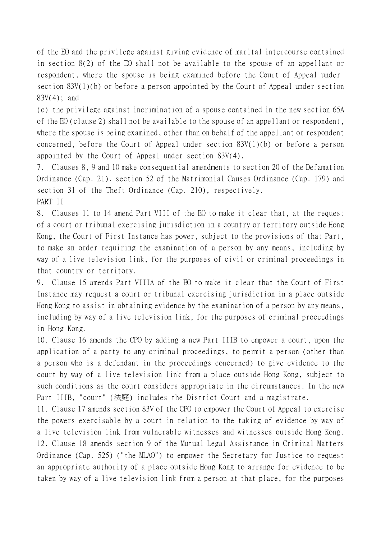of the EO and the privilege against giving evidence of marital intercourse contained in section 8(2) of the EO shall not be available to the spouse of an appellant or respondent, where the spouse is being examined before the Court of Appeal under section 83V(1)(b) or before a person appointed by the Court of Appeal under section 83V(4); and

(c) the privilege against incrimination of a spouse contained in the new section 65A of the EO (clause 2) shall not be available to the spouse of an appellant or respondent, where the spouse is being examined, other than on behalf of the appellant or respondent concerned, before the Court of Appeal under section 83V(1)(b) or before a person appointed by the Court of Appeal under section 83V(4).

7. Clauses 8, 9 and 10 make consequential amendments to section 20 of the Defamation Ordinance (Cap. 21), section 52 of the Matrimonial Causes Ordinance (Cap. 179) and section 31 of the Theft Ordinance (Cap. 210), respectively. PART II

8. Clauses 11 to 14 amend Part VIII of the EO to make it clear that, at the request of a court or tribunal exercising jurisdiction in a country or territory outside Hong Kong, the Court of First Instance has power, subject to the provisions of that Part, to make an order requiring the examination of a person by any means, including by way of a live television link, for the purposes of civil or criminal proceedings in that country or territory.

9. Clause 15 amends Part VIIIA of the EO to make it clear that the Court of First Instance may request a court or tribunal exercising jurisdiction in a place outside Hong Kong to assist in obtaining evidence by the examination of a person by any means, including by way of a live television link, for the purposes of criminal proceedings in Hong Kong.

10. Clause 16 amends the CPO by adding a new Part IIIB to empower a court, upon the application of a party to any criminal proceedings, to permit a person (other than a person who is a defendant in the proceedings concerned) to give evidence to the court by way of a live television link from a place outside Hong Kong, subject to such conditions as the court considers appropriate in the circumstances. In the new Part IIIB, "court" (法庭) includes the District Court and a magistrate.

11. Clause 17 amends section 83V of the CPO to empower the Court of Appeal to exercise the powers exercisable by a court in relation to the taking of evidence by way of a live television link from vulnerable witnesses and witnesses outside Hong Kong. 12. Clause 18 amends section 9 of the Mutual Legal Assistance in Criminal Matters Ordinance (Cap. 525) ("the MLAO") to empower the Secretary for Justice to request an appropriate authority of a place outside Hong Kong to arrange for evidence to be taken by way of a live television link from a person at that place, for the purposes